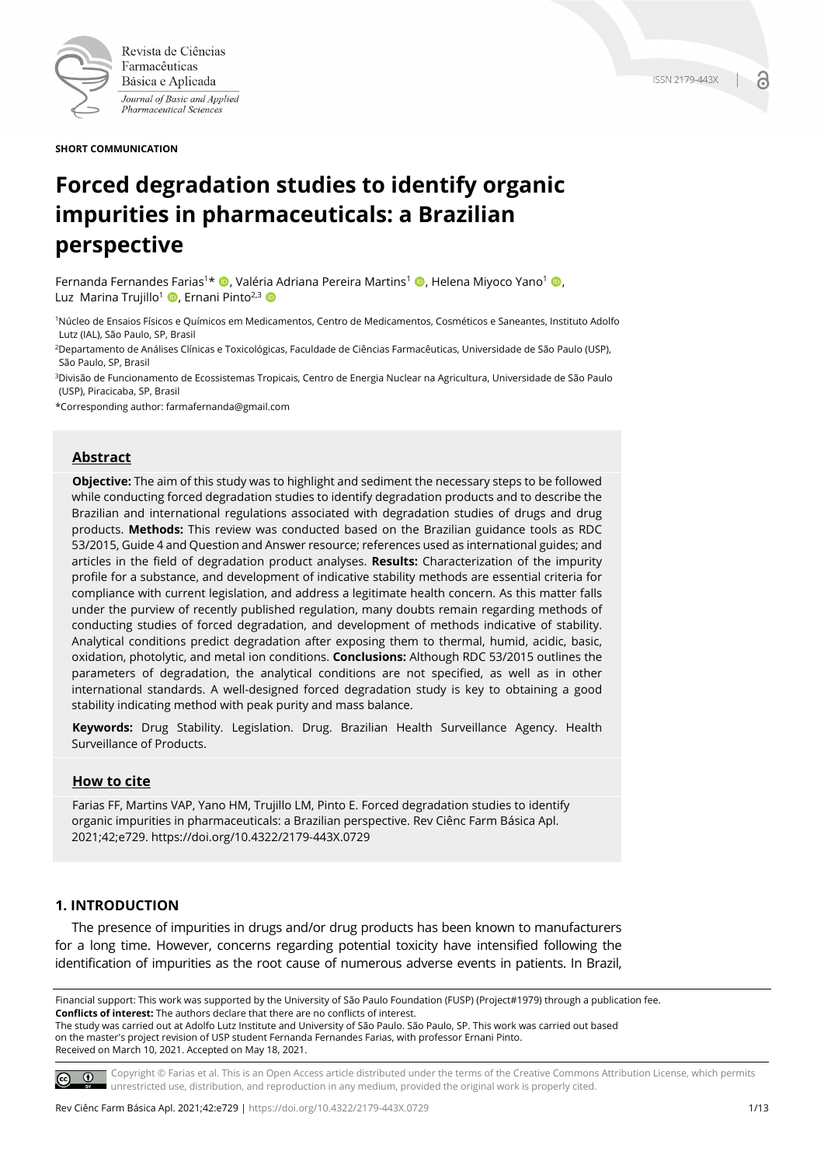

Revista de Ciências Farmacêuticas Básica e Aplicada Journal of Basic and Applied Pharmaceutical Sciences

**SHORT COMMUNICATION**

# **Forced degradation studies to identify organic impurities in pharmaceuticals: a Brazilian perspective**

Fernanda Fernandes Farias<sup>1\*</sup> (**D**, Valéria Adriana Pereira Martins<sup>1</sup> (**D**, Helena Miyoco Yano<sup>1</sup> (**D**, Luz Marina Trujillo<sup>1</sup> D, Ernani Pinto<sup>2,3</sup> D

1Núcleo de Ensaios Físicos e Químicos em Medicamentos, Centro de Medicamentos, Cosméticos e Saneantes, Instituto Adolfo Lutz (IAL), São Paulo, SP, Brasil

2Departamento de Análises Clínicas e Toxicológicas, Faculdade de Ciências Farmacêuticas, Universidade de São Paulo (USP), São Paulo, SP, Brasil

3Divisão de Funcionamento de Ecossistemas Tropicais, Centro de Energia Nuclear na Agricultura, Universidade de São Paulo (USP), Piracicaba, SP, Brasil

\*Corresponding author: farmafernanda@gmail.com

## **Abstract**

**Objective:** The aim of this study was to highlight and sediment the necessary steps to be followed while conducting forced degradation studies to identify degradation products and to describe the Brazilian and international regulations associated with degradation studies of drugs and drug products. **Methods:** This review was conducted based on the Brazilian guidance tools as RDC 53/2015, Guide 4 and Question and Answer resource; references used as international guides; and articles in the field of degradation product analyses. **Results:** Characterization of the impurity profile for a substance, and development of indicative stability methods are essential criteria for compliance with current legislation, and address a legitimate health concern. As this matter falls under the purview of recently published regulation, many doubts remain regarding methods of conducting studies of forced degradation, and development of methods indicative of stability. Analytical conditions predict degradation after exposing them to thermal, humid, acidic, basic, oxidation, photolytic, and metal ion conditions. **Conclusions:** Although RDC 53/2015 outlines the parameters of degradation, the analytical conditions are not specified, as well as in other international standards. A well-designed forced degradation study is key to obtaining a good stability indicating method with peak purity and mass balance.

**Keywords:** Drug Stability. Legislation. Drug. Brazilian Health Surveillance Agency. Health Surveillance of Products.

#### **How to cite**

Farias FF, Martins VAP, Yano HM, Trujillo LM, Pinto E. Forced degradation studies to identify organic impurities in pharmaceuticals: a Brazilian perspective. Rev Ciênc Farm Básica Apl. 2021;42;e729. https://doi.org/10.4322/2179-443X.0729

## **1. INTRODUCTION**

The presence of impurities in drugs and/or drug products has been known to manufacturers for a long time. However, concerns regarding potential toxicity have intensified following the identification of impurities as the root cause of numerous adverse events in patients. In Brazil,

Financial support: This work was supported by the University of São Paulo Foundation (FUSP) (Project#1979) through a publication fee. **Conflicts of interest:** The authors declare that there are no conflicts of interest. The study was carried out at Adolfo Lutz Institute and University of São Paulo. São Paulo, SP. This work was carried out based on the master's project revision of USP student Fernanda Fernandes Farias, with professor Ernani Pinto. Received on March 10, 2021. Accepted on May 18, 2021.

 $\circ$   $\circ$ 

Copyright © Farias et al. This is an Open Access article distributed under the terms of the Creative Commons Attribution License, which permits unrestricted use, distribution, and reproduction in any medium, provided the original work is properly cited.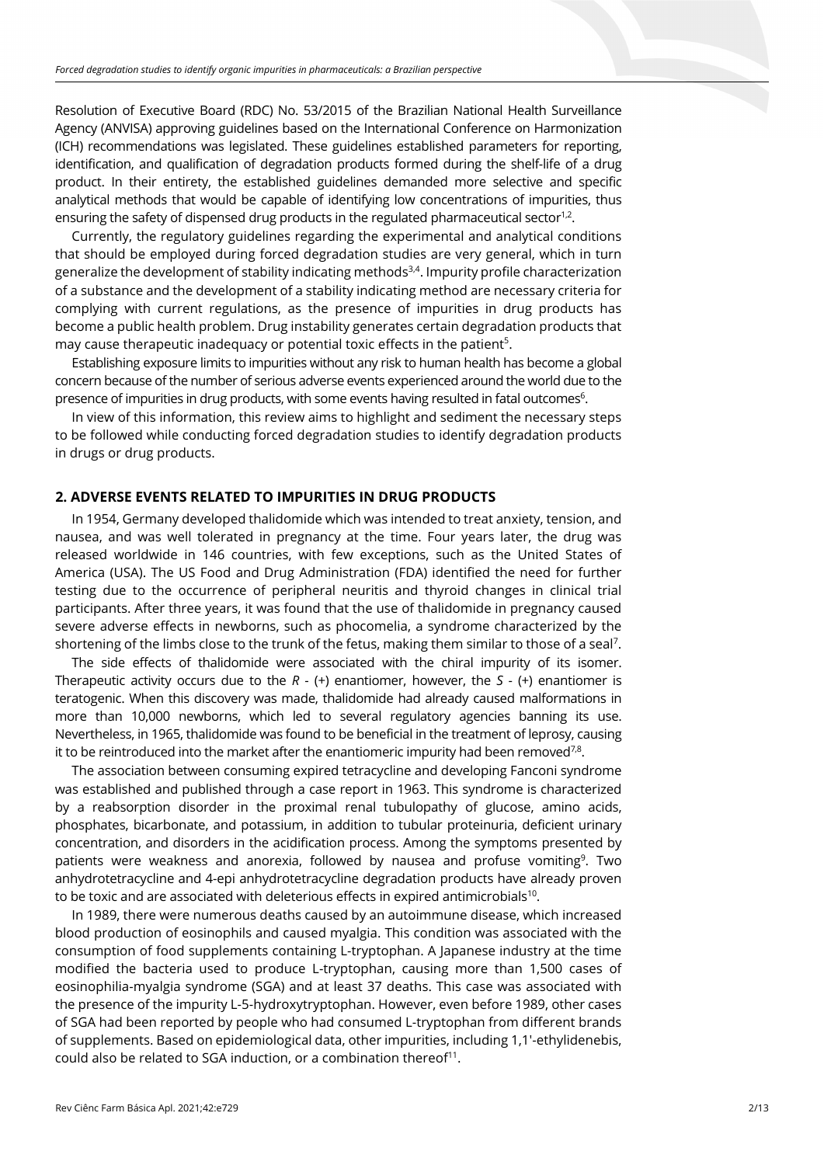Resolution of Executive Board (RDC) No. 53/2015 of the Brazilian National Health Surveillance Agency (ANVISA) approving guidelines based on the International Conference on Harmonization (ICH) recommendations was legislated. These guidelines established parameters for reporting, identification, and qualification of degradation products formed during the shelf-life of a drug product. In their entirety, the established guidelines demanded more selective and specific analytical methods that would be capable of identifying low concentrations of impurities, thus ensuring the safety of dispensed drug products in the regulated pharmaceutical sector<sup>1,2</sup>.

Currently, the regulatory guidelines regarding the experimental and analytical conditions that should be employed during forced degradation studies are very general, which in turn generalize the development of stability indicating methods<sup>3,4</sup>. Impurity profile characterization of a substance and the development of a stability indicating method are necessary criteria for complying with current regulations, as the presence of impurities in drug products has become a public health problem. Drug instability generates certain degradation products that may cause therapeutic inadequacy or potential toxic effects in the patient<sup>5</sup>.

Establishing exposure limits to impurities without any risk to human health has become a global concern because of the number of serious adverse events experienced around the world due to the presence of impurities in drug products, with some events having resulted in fatal outcomes<sup>6</sup>.

In view of this information, this review aims to highlight and sediment the necessary steps to be followed while conducting forced degradation studies to identify degradation products in drugs or drug products.

#### **2. ADVERSE EVENTS RELATED TO IMPURITIES IN DRUG PRODUCTS**

In 1954, Germany developed thalidomide which was intended to treat anxiety, tension, and nausea, and was well tolerated in pregnancy at the time. Four years later, the drug was released worldwide in 146 countries, with few exceptions, such as the United States of America (USA). The US Food and Drug Administration (FDA) identified the need for further testing due to the occurrence of peripheral neuritis and thyroid changes in clinical trial participants. After three years, it was found that the use of thalidomide in pregnancy caused severe adverse effects in newborns, such as phocomelia, a syndrome characterized by the shortening of the limbs close to the trunk of the fetus, making them similar to those of a seal<sup>7</sup>.

The side effects of thalidomide were associated with the chiral impurity of its isomer. Therapeutic activity occurs due to the *R* - (+) enantiomer, however, the *S* - (+) enantiomer is teratogenic. When this discovery was made, thalidomide had already caused malformations in more than 10,000 newborns, which led to several regulatory agencies banning its use. Nevertheless, in 1965, thalidomide was found to be beneficial in the treatment of leprosy, causing it to be reintroduced into the market after the enantiomeric impurity had been removed<sup>7,8</sup>.

The association between consuming expired tetracycline and developing Fanconi syndrome was established and published through a case report in 1963. This syndrome is characterized by a reabsorption disorder in the proximal renal tubulopathy of glucose, amino acids, phosphates, bicarbonate, and potassium, in addition to tubular proteinuria, deficient urinary concentration, and disorders in the acidification process. Among the symptoms presented by patients were weakness and anorexia, followed by nausea and profuse vomiting<sup>9</sup>. Two anhydrotetracycline and 4-epi anhydrotetracycline degradation products have already proven to be toxic and are associated with deleterious effects in expired antimicrobials<sup>10</sup>.

In 1989, there were numerous deaths caused by an autoimmune disease, which increased blood production of eosinophils and caused myalgia. This condition was associated with the consumption of food supplements containing L-tryptophan. A Japanese industry at the time modified the bacteria used to produce L-tryptophan, causing more than 1,500 cases of eosinophilia-myalgia syndrome (SGA) and at least 37 deaths. This case was associated with the presence of the impurity L-5-hydroxytryptophan. However, even before 1989, other cases of SGA had been reported by people who had consumed L-tryptophan from different brands of supplements. Based on epidemiological data, other impurities, including 1,1'-ethylidenebis, could also be related to SGA induction, or a combination thereof<sup>11</sup>.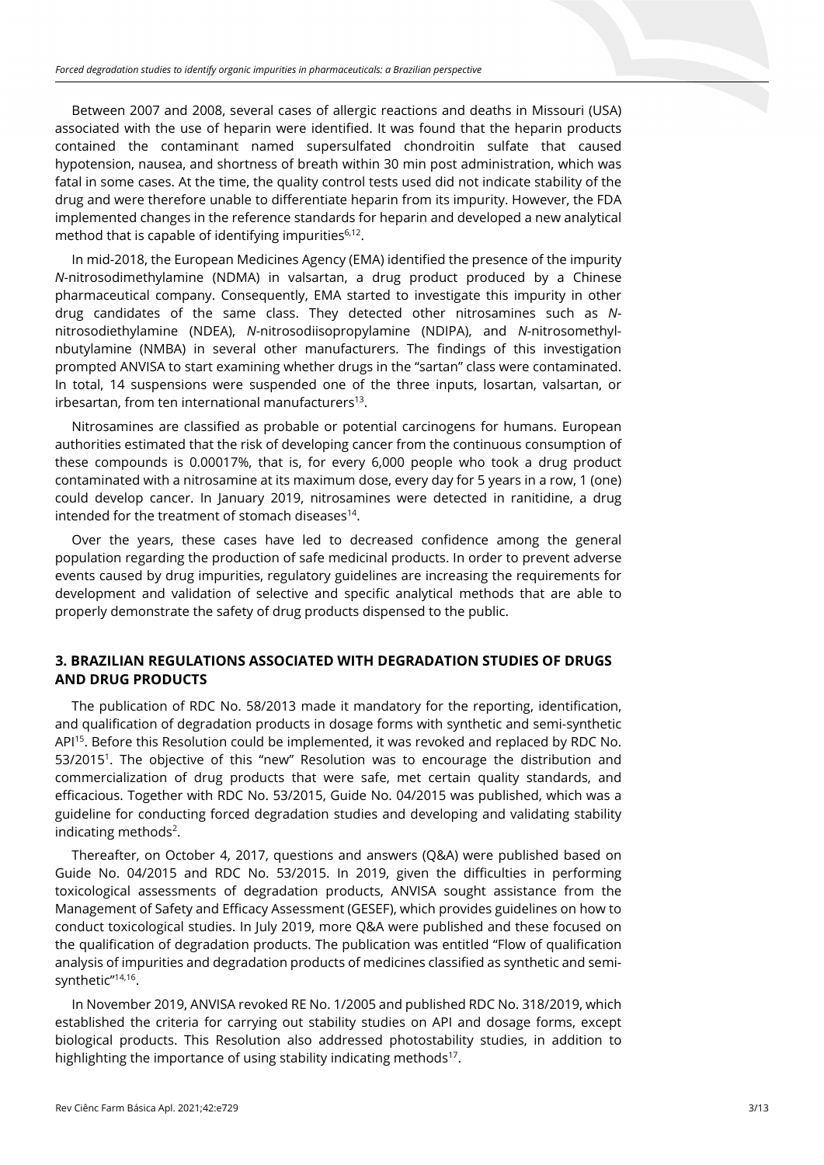Between 2007 and 2008, several cases of allergic reactions and deaths in Missouri (USA) associated with the use of heparin were identified. It was found that the heparin products contained the contaminant named supersulfated chondroitin sulfate that caused hypotension, nausea, and shortness of breath within 30 min post administration, which was fatal in some cases. At the time, the quality control tests used did not indicate stability of the drug and were therefore unable to differentiate heparin from its impurity. However, the FDA implemented changes in the reference standards for heparin and developed a new analytical method that is capable of identifying impurities $6,12$ .

In mid-2018, the European Medicines Agency (EMA) identified the presence of the impurity *N*-nitrosodimethylamine (NDMA) in valsartan, a drug product produced by a Chinese pharmaceutical company. Consequently, EMA started to investigate this impurity in other drug candidates of the same class. They detected other nitrosamines such as *N*nitrosodiethylamine (NDEA), *N*-nitrosodiisopropylamine (NDIPA), and *N*-nitrosomethylnbutylamine (NMBA) in several other manufacturers. The findings of this investigation prompted ANVISA to start examining whether drugs in the "sartan" class were contaminated. In total, 14 suspensions were suspended one of the three inputs, losartan, valsartan, or irbesartan, from ten international manufacturers<sup>13</sup>.

Nitrosamines are classified as probable or potential carcinogens for humans. European authorities estimated that the risk of developing cancer from the continuous consumption of these compounds is 0.00017%, that is, for every 6,000 people who took a drug product contaminated with a nitrosamine at its maximum dose, every day for 5 years in a row, 1 (one) could develop cancer. In January 2019, nitrosamines were detected in ranitidine, a drug intended for the treatment of stomach diseases $14$ .

Over the years, these cases have led to decreased confidence among the general population regarding the production of safe medicinal products. In order to prevent adverse events caused by drug impurities, regulatory guidelines are increasing the requirements for development and validation of selective and specific analytical methods that are able to properly demonstrate the safety of drug products dispensed to the public.

# **3. BRAZILIAN REGULATIONS ASSOCIATED WITH DEGRADATION STUDIES OF DRUGS AND DRUG PRODUCTS**

The publication of RDC No. 58/2013 made it mandatory for the reporting, identification, and qualification of degradation products in dosage forms with synthetic and semi-synthetic API<sup>15</sup>. Before this Resolution could be implemented, it was revoked and replaced by RDC No. 53/20151. The objective of this "new" Resolution was to encourage the distribution and commercialization of drug products that were safe, met certain quality standards, and efficacious. Together with RDC No. 53/2015, Guide No. 04/2015 was published, which was a guideline for conducting forced degradation studies and developing and validating stability indicating methods<sup>2</sup>.

Thereafter, on October 4, 2017, questions and answers (Q&A) were published based on Guide No. 04/2015 and RDC No. 53/2015. In 2019, given the difficulties in performing toxicological assessments of degradation products, ANVISA sought assistance from the Management of Safety and Efficacy Assessment (GESEF), which provides guidelines on how to conduct toxicological studies. In July 2019, more Q&A were published and these focused on the qualification of degradation products. The publication was entitled "Flow of qualification analysis of impurities and degradation products of medicines classified as synthetic and semisynthetic"<sup>14,16</sup>.

In November 2019, ANVISA revoked RE No. 1/2005 and published RDC No. 318/2019, which established the criteria for carrying out stability studies on API and dosage forms, except biological products. This Resolution also addressed photostability studies, in addition to highlighting the importance of using stability indicating methods<sup>17</sup>.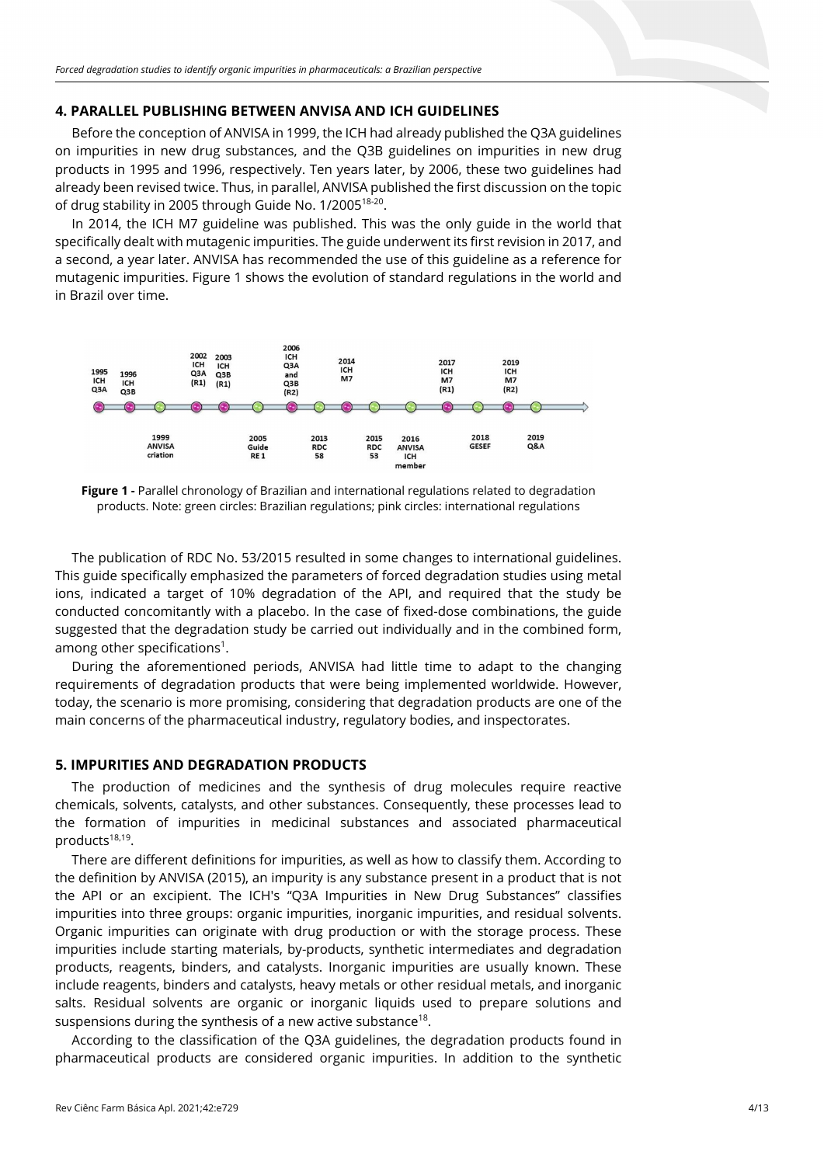#### **4. PARALLEL PUBLISHING BETWEEN ANVISA AND ICH GUIDELINES**

Before the conception of ANVISA in 1999, the ICH had already published the Q3A guidelines on impurities in new drug substances, and the Q3B guidelines on impurities in new drug products in 1995 and 1996, respectively. Ten years later, by 2006, these two guidelines had already been revised twice. Thus, in parallel, ANVISA published the first discussion on the topic of drug stability in 2005 through Guide No. 1/200518-20.

In 2014, the ICH M7 guideline was published. This was the only guide in the world that specifically dealt with mutagenic impurities. The guide underwent its first revision in 2017, and a second, a year later. ANVISA has recommended the use of this guideline as a reference for mutagenic impurities. Figure 1 shows the evolution of standard regulations in the world and in Brazil over time.



**Figure 1 -** Parallel chronology of Brazilian and international regulations related to degradation products. Note: green circles: Brazilian regulations; pink circles: international regulations

The publication of RDC No. 53/2015 resulted in some changes to international guidelines. This guide specifically emphasized the parameters of forced degradation studies using metal ions, indicated a target of 10% degradation of the API, and required that the study be conducted concomitantly with a placebo. In the case of fixed-dose combinations, the guide suggested that the degradation study be carried out individually and in the combined form, among other specifications<sup>1</sup>.

During the aforementioned periods, ANVISA had little time to adapt to the changing requirements of degradation products that were being implemented worldwide. However, today, the scenario is more promising, considering that degradation products are one of the main concerns of the pharmaceutical industry, regulatory bodies, and inspectorates.

#### **5. IMPURITIES AND DEGRADATION PRODUCTS**

The production of medicines and the synthesis of drug molecules require reactive chemicals, solvents, catalysts, and other substances. Consequently, these processes lead to the formation of impurities in medicinal substances and associated pharmaceutical products<sup>18,19</sup>.

There are different definitions for impurities, as well as how to classify them. According to the definition by ANVISA (2015), an impurity is any substance present in a product that is not the API or an excipient. The ICH's "Q3A Impurities in New Drug Substances" classifies impurities into three groups: organic impurities, inorganic impurities, and residual solvents. Organic impurities can originate with drug production or with the storage process. These impurities include starting materials, by-products, synthetic intermediates and degradation products, reagents, binders, and catalysts. Inorganic impurities are usually known. These include reagents, binders and catalysts, heavy metals or other residual metals, and inorganic salts. Residual solvents are organic or inorganic liquids used to prepare solutions and suspensions during the synthesis of a new active substance<sup>18</sup>.

According to the classification of the Q3A guidelines, the degradation products found in pharmaceutical products are considered organic impurities. In addition to the synthetic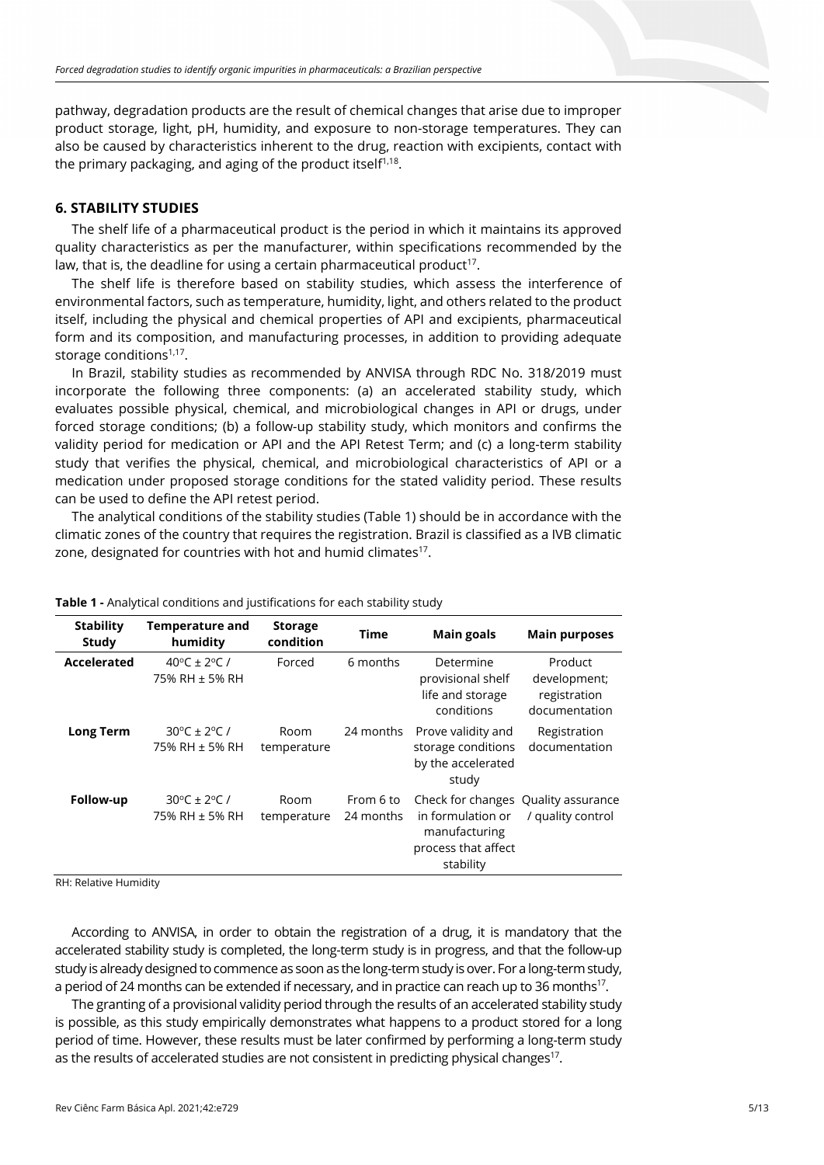pathway, degradation products are the result of chemical changes that arise due to improper product storage, light, pH, humidity, and exposure to non-storage temperatures. They can also be caused by characteristics inherent to the drug, reaction with excipients, contact with the primary packaging, and aging of the product itself $1,18$ .

## **6. STABILITY STUDIES**

The shelf life of a pharmaceutical product is the period in which it maintains its approved quality characteristics as per the manufacturer, within specifications recommended by the law, that is, the deadline for using a certain pharmaceutical product<sup>17</sup>.

The shelf life is therefore based on stability studies, which assess the interference of environmental factors, such as temperature, humidity, light, and others related to the product itself, including the physical and chemical properties of API and excipients, pharmaceutical form and its composition, and manufacturing processes, in addition to providing adequate storage conditions<sup>1,17</sup>.

In Brazil, stability studies as recommended by ANVISA through RDC No. 318/2019 must incorporate the following three components: (a) an accelerated stability study, which evaluates possible physical, chemical, and microbiological changes in API or drugs, under forced storage conditions; (b) a follow-up stability study, which monitors and confirms the validity period for medication or API and the API Retest Term; and (c) a long-term stability study that verifies the physical, chemical, and microbiological characteristics of API or a medication under proposed storage conditions for the stated validity period. These results can be used to define the API retest period.

The analytical conditions of the stability studies (Table 1) should be in accordance with the climatic zones of the country that requires the registration. Brazil is classified as a IVB climatic zone, designated for countries with hot and humid climates $17$ .

| <b>Stability</b><br><b>Study</b> | <b>Temperature and</b><br>humidity                       | <b>Storage</b><br>condition | Time                   | <b>Main goals</b>                                                                                             | <b>Main purposes</b>                                     |
|----------------------------------|----------------------------------------------------------|-----------------------------|------------------------|---------------------------------------------------------------------------------------------------------------|----------------------------------------------------------|
| Accelerated                      | 40 <sup>o</sup> C ± 2 <sup>o</sup> C /<br>75% RH ± 5% RH | Forced                      | 6 months               | Determine<br>provisional shelf<br>life and storage<br>conditions                                              | Product<br>development;<br>registration<br>documentation |
| <b>Long Term</b>                 | $30^{\circ}$ C ± 2°C /<br>75% RH ± 5% RH                 | Room<br>temperature         | 24 months              | Prove validity and<br>storage conditions<br>by the accelerated<br>study                                       | Registration<br>documentation                            |
| Follow-up                        | $30^{\circ}$ C ± 2°C /<br>75% RH ± 5% RH                 | Room<br>temperature         | From 6 to<br>24 months | Check for changes Quality assurance<br>in formulation or<br>manufacturing<br>process that affect<br>stability | / quality control                                        |

**Table 1 -** Analytical conditions and justifications for each stability study

RH: Relative Humidity

According to ANVISA, in order to obtain the registration of a drug, it is mandatory that the accelerated stability study is completed, the long-term study is in progress, and that the follow-up study is already designed to commence as soon as the long-term study is over. For a long-term study, a period of 24 months can be extended if necessary, and in practice can reach up to 36 months<sup>17</sup>.

The granting of a provisional validity period through the results of an accelerated stability study is possible, as this study empirically demonstrates what happens to a product stored for a long period of time. However, these results must be later confirmed by performing a long-term study as the results of accelerated studies are not consistent in predicting physical changes<sup>17</sup>.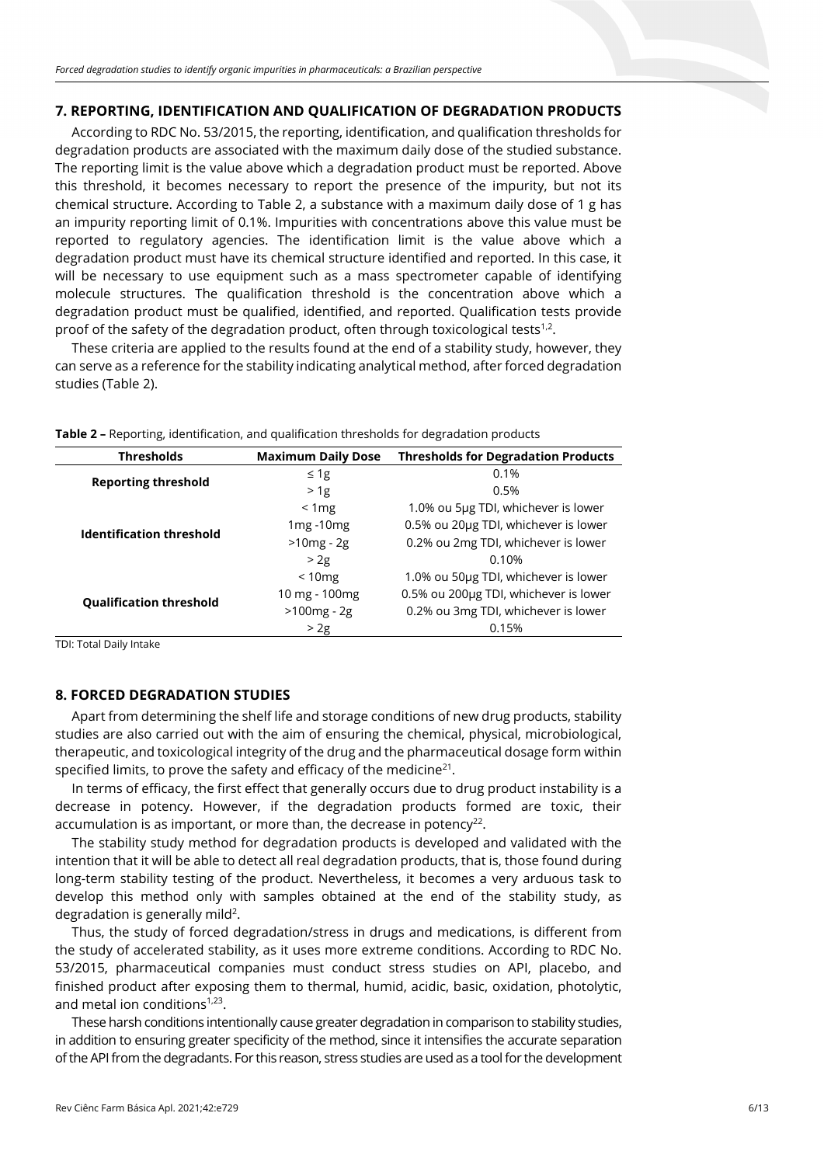#### **7. REPORTING, IDENTIFICATION AND QUALIFICATION OF DEGRADATION PRODUCTS**

According to RDC No. 53/2015, the reporting, identification, and qualification thresholds for degradation products are associated with the maximum daily dose of the studied substance. The reporting limit is the value above which a degradation product must be reported. Above this threshold, it becomes necessary to report the presence of the impurity, but not its chemical structure. According to Table 2, a substance with a maximum daily dose of 1 g has an impurity reporting limit of 0.1%. Impurities with concentrations above this value must be reported to regulatory agencies. The identification limit is the value above which a degradation product must have its chemical structure identified and reported. In this case, it will be necessary to use equipment such as a mass spectrometer capable of identifying molecule structures. The qualification threshold is the concentration above which a degradation product must be qualified, identified, and reported. Qualification tests provide proof of the safety of the degradation product, often through toxicological tests<sup>1,2</sup>.

These criteria are applied to the results found at the end of a stability study, however, they can serve as a reference for the stability indicating analytical method, after forced degradation studies (Table 2).

| <b>Thresholds</b>               | <b>Maximum Daily Dose</b> | <b>Thresholds for Degradation Products</b> |  |
|---------------------------------|---------------------------|--------------------------------------------|--|
| <b>Reporting threshold</b>      | $\leq 1g$                 | 0.1%                                       |  |
|                                 | >1g                       | 0.5%                                       |  |
|                                 | < 1mg                     | 1.0% ou 5µg TDI, whichever is lower        |  |
| <b>Identification threshold</b> | $1mg - 10mg$              | 0.5% ou 20µg TDI, whichever is lower       |  |
|                                 | $>10mg - 2g$              | 0.2% ou 2mg TDI, whichever is lower        |  |
|                                 | >2g                       | 0.10%                                      |  |
|                                 | < 10mg                    | 1.0% ou 50µg TDI, whichever is lower       |  |
| <b>Qualification threshold</b>  | 10 mg - 100 mg            | 0.5% ou 200µg TDI, whichever is lower      |  |
|                                 | $>100mg - 2g$             | 0.2% ou 3mg TDI, whichever is lower        |  |
|                                 | > 2g                      | 0.15%                                      |  |

**Table 2 –** Reporting, identification, and qualification thresholds for degradation products

TDI: Total Daily Intake

## **8. FORCED DEGRADATION STUDIES**

Apart from determining the shelf life and storage conditions of new drug products, stability studies are also carried out with the aim of ensuring the chemical, physical, microbiological, therapeutic, and toxicological integrity of the drug and the pharmaceutical dosage form within specified limits, to prove the safety and efficacy of the medicine $21$ .

In terms of efficacy, the first effect that generally occurs due to drug product instability is a decrease in potency. However, if the degradation products formed are toxic, their accumulation is as important, or more than, the decrease in potency<sup>22</sup>.

The stability study method for degradation products is developed and validated with the intention that it will be able to detect all real degradation products, that is, those found during long-term stability testing of the product. Nevertheless, it becomes a very arduous task to develop this method only with samples obtained at the end of the stability study, as degradation is generally mild<sup>2</sup>.

Thus, the study of forced degradation/stress in drugs and medications, is different from the study of accelerated stability, as it uses more extreme conditions. According to RDC No. 53/2015, pharmaceutical companies must conduct stress studies on API, placebo, and finished product after exposing them to thermal, humid, acidic, basic, oxidation, photolytic, and metal ion conditions $1,23$ .

These harsh conditions intentionally cause greater degradation in comparison to stability studies, in addition to ensuring greater specificity of the method, since it intensifies the accurate separation of the API from the degradants. For this reason, stress studies are used as a tool for the development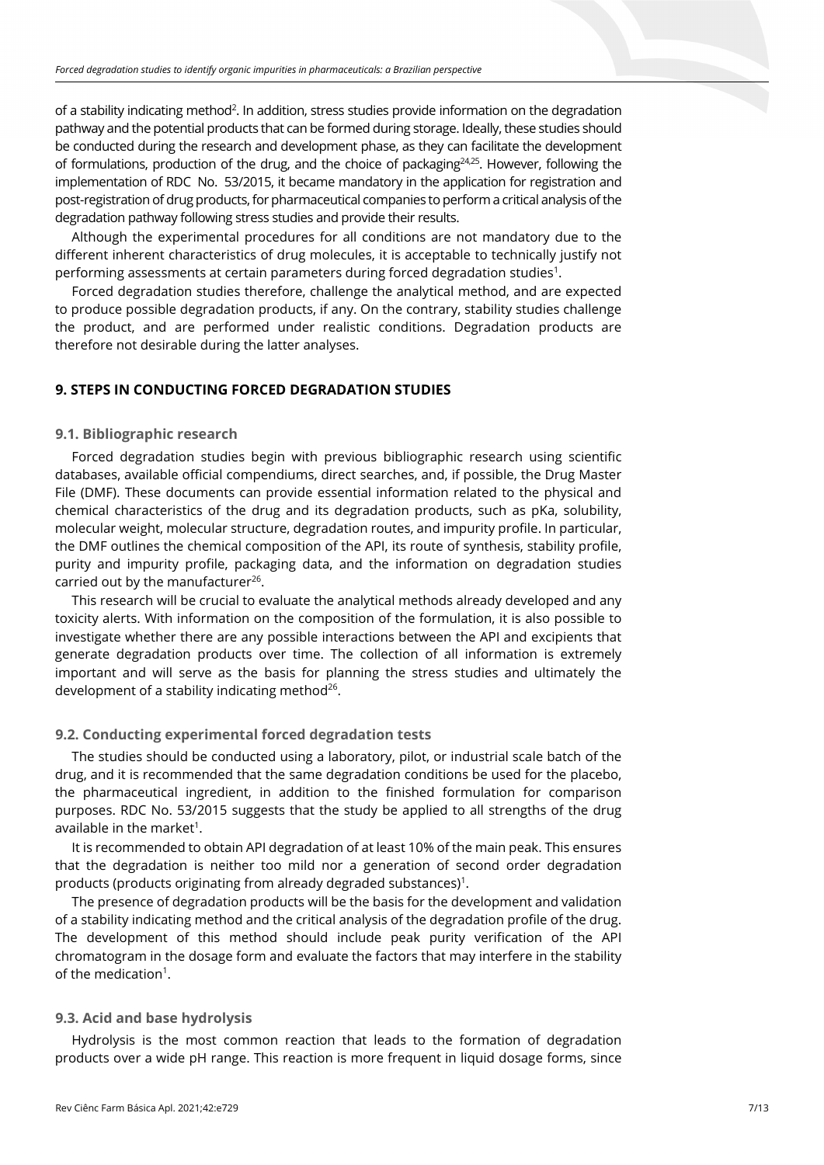of a stability indicating method<sup>2</sup>. In addition, stress studies provide information on the degradation pathway and the potential products that can be formed during storage. Ideally, these studies should be conducted during the research and development phase, as they can facilitate the development of formulations, production of the drug, and the choice of packaging $24,25$ . However, following the implementation of RDC No. 53/2015, it became mandatory in the application for registration and post-registration of drug products, for pharmaceutical companies to perform a critical analysis of the degradation pathway following stress studies and provide their results.

Although the experimental procedures for all conditions are not mandatory due to the different inherent characteristics of drug molecules, it is acceptable to technically justify not performing assessments at certain parameters during forced degradation studies<sup>1</sup>.

Forced degradation studies therefore, challenge the analytical method, and are expected to produce possible degradation products, if any. On the contrary, stability studies challenge the product, and are performed under realistic conditions. Degradation products are therefore not desirable during the latter analyses.

## **9. STEPS IN CONDUCTING FORCED DEGRADATION STUDIES**

### **9.1. Bibliographic research**

Forced degradation studies begin with previous bibliographic research using scientific databases, available official compendiums, direct searches, and, if possible, the Drug Master File (DMF). These documents can provide essential information related to the physical and chemical characteristics of the drug and its degradation products, such as pKa, solubility, molecular weight, molecular structure, degradation routes, and impurity profile. In particular, the DMF outlines the chemical composition of the API, its route of synthesis, stability profile, purity and impurity profile, packaging data, and the information on degradation studies carried out by the manufacturer<sup>26</sup>.

This research will be crucial to evaluate the analytical methods already developed and any toxicity alerts. With information on the composition of the formulation, it is also possible to investigate whether there are any possible interactions between the API and excipients that generate degradation products over time. The collection of all information is extremely important and will serve as the basis for planning the stress studies and ultimately the development of a stability indicating method $26$ .

## **9.2. Conducting experimental forced degradation tests**

The studies should be conducted using a laboratory, pilot, or industrial scale batch of the drug, and it is recommended that the same degradation conditions be used for the placebo, the pharmaceutical ingredient, in addition to the finished formulation for comparison purposes. RDC No. 53/2015 suggests that the study be applied to all strengths of the drug available in the market<sup>1</sup>.

It is recommended to obtain API degradation of at least 10% of the main peak. This ensures that the degradation is neither too mild nor a generation of second order degradation products (products originating from already degraded substances)<sup>1</sup>.

The presence of degradation products will be the basis for the development and validation of a stability indicating method and the critical analysis of the degradation profile of the drug. The development of this method should include peak purity verification of the API chromatogram in the dosage form and evaluate the factors that may interfere in the stability of the medication<sup>1</sup>.

#### **9.3. Acid and base hydrolysis**

Hydrolysis is the most common reaction that leads to the formation of degradation products over a wide pH range. This reaction is more frequent in liquid dosage forms, since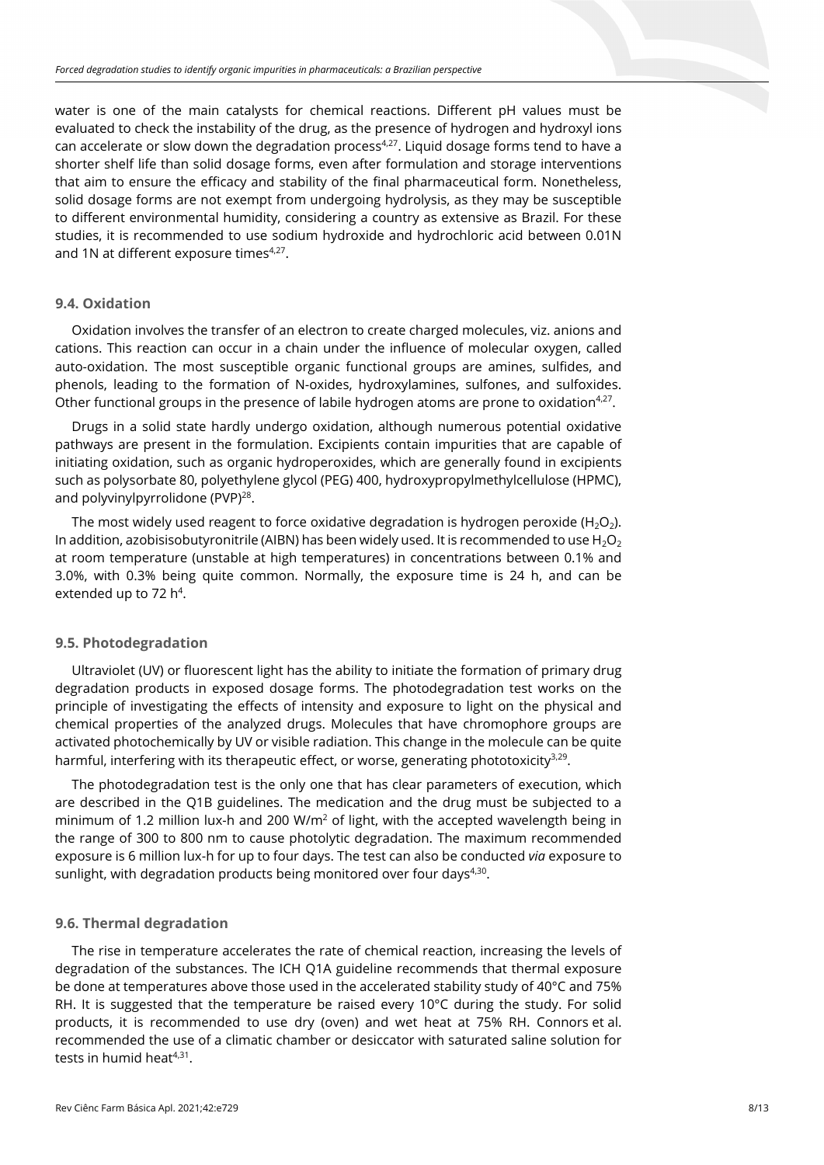water is one of the main catalysts for chemical reactions. Different pH values must be evaluated to check the instability of the drug, as the presence of hydrogen and hydroxyl ions can accelerate or slow down the degradation process<sup>4,27</sup>. Liquid dosage forms tend to have a shorter shelf life than solid dosage forms, even after formulation and storage interventions that aim to ensure the efficacy and stability of the final pharmaceutical form. Nonetheless, solid dosage forms are not exempt from undergoing hydrolysis, as they may be susceptible to different environmental humidity, considering a country as extensive as Brazil. For these studies, it is recommended to use sodium hydroxide and hydrochloric acid between 0.01N and 1N at different exposure times $4,27$ .

#### **9.4. Oxidation**

Oxidation involves the transfer of an electron to create charged molecules, viz. anions and cations. This reaction can occur in a chain under the influence of molecular oxygen, called auto-oxidation. The most susceptible organic functional groups are amines, sulfides, and phenols, leading to the formation of N-oxides, hydroxylamines, sulfones, and sulfoxides. Other functional groups in the presence of labile hydrogen atoms are prone to oxidation<sup>4,27</sup>.

Drugs in a solid state hardly undergo oxidation, although numerous potential oxidative pathways are present in the formulation. Excipients contain impurities that are capable of initiating oxidation, such as organic hydroperoxides, which are generally found in excipients such as polysorbate 80, polyethylene glycol (PEG) 400, hydroxypropylmethylcellulose (HPMC), and polyvinylpyrrolidone (PVP)<sup>28</sup>.

The most widely used reagent to force oxidative degradation is hydrogen peroxide (H<sub>2</sub>O<sub>2</sub>). In addition, azobisisobutyronitrile (AIBN) has been widely used. It is recommended to use  $H_2O_2$ at room temperature (unstable at high temperatures) in concentrations between 0.1% and 3.0%, with 0.3% being quite common. Normally, the exposure time is 24 h, and can be extended up to 72  $h^4$ .

#### **9.5. Photodegradation**

Ultraviolet (UV) or fluorescent light has the ability to initiate the formation of primary drug degradation products in exposed dosage forms. The photodegradation test works on the principle of investigating the effects of intensity and exposure to light on the physical and chemical properties of the analyzed drugs. Molecules that have chromophore groups are activated photochemically by UV or visible radiation. This change in the molecule can be quite harmful, interfering with its therapeutic effect, or worse, generating phototoxicity<sup>3,29</sup>.

The photodegradation test is the only one that has clear parameters of execution, which are described in the Q1B guidelines. The medication and the drug must be subjected to a minimum of 1.2 million lux-h and 200 W/ $m<sup>2</sup>$  of light, with the accepted wavelength being in the range of 300 to 800 nm to cause photolytic degradation. The maximum recommended exposure is 6 million lux-h for up to four days. The test can also be conducted *via* exposure to sunlight, with degradation products being monitored over four days $4,30$ .

## **9.6. Thermal degradation**

The rise in temperature accelerates the rate of chemical reaction, increasing the levels of degradation of the substances. The ICH Q1A guideline recommends that thermal exposure be done at temperatures above those used in the accelerated stability study of 40°C and 75% RH. It is suggested that the temperature be raised every  $10^{\circ}$ C during the study. For solid products, it is recommended to use dry (oven) and wet heat at 75% RH. Connors et al. recommended the use of a climatic chamber or desiccator with saturated saline solution for tests in humid heat $4,31$ .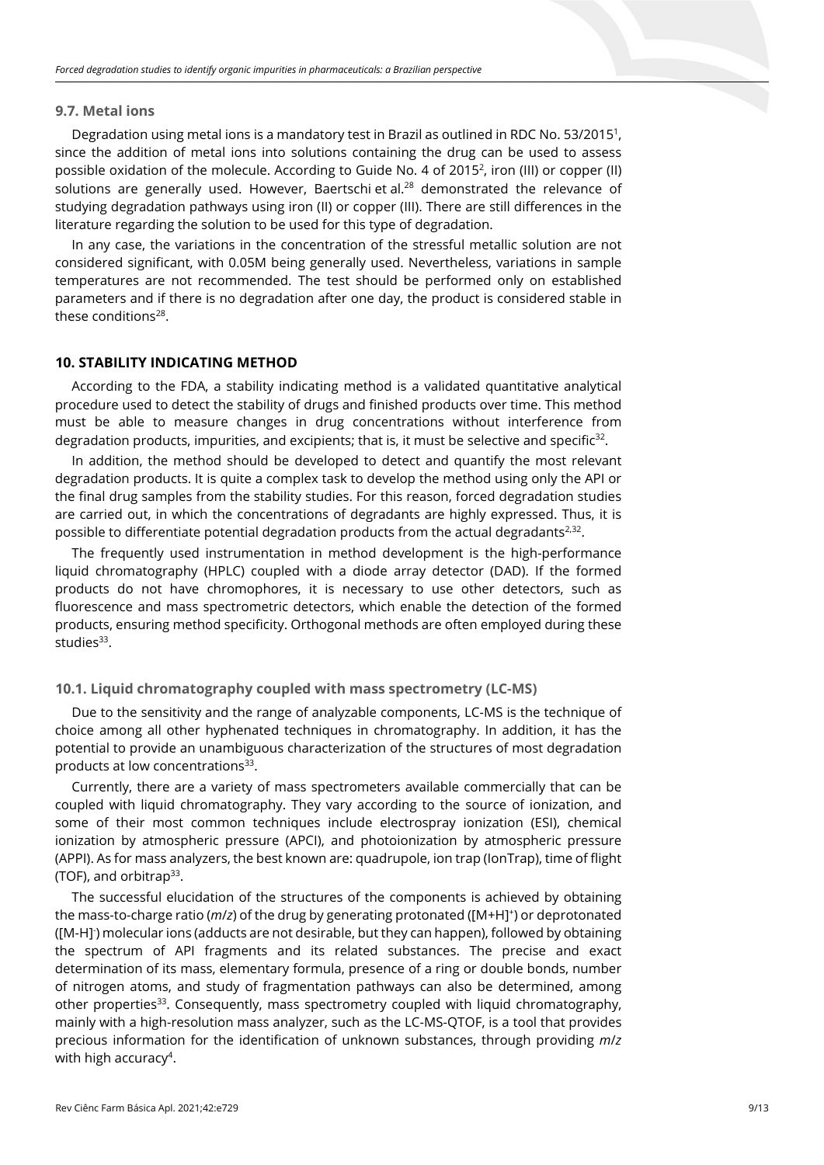#### **9.7. Metal ions**

Degradation using metal ions is a mandatory test in Brazil as outlined in RDC No. 53/2015<sup>1</sup>, since the addition of metal ions into solutions containing the drug can be used to assess possible oxidation of the molecule. According to Guide No. 4 of 20152 , iron (III) or copper (II) solutions are generally used. However, Baertschi et al.<sup>28</sup> demonstrated the relevance of studying degradation pathways using iron (II) or copper (III). There are still differences in the literature regarding the solution to be used for this type of degradation.

In any case, the variations in the concentration of the stressful metallic solution are not considered significant, with 0.05M being generally used. Nevertheless, variations in sample temperatures are not recommended. The test should be performed only on established parameters and if there is no degradation after one day, the product is considered stable in these conditions<sup>28</sup>.

## **10. STABILITY INDICATING METHOD**

According to the FDA, a stability indicating method is a validated quantitative analytical procedure used to detect the stability of drugs and finished products over time. This method must be able to measure changes in drug concentrations without interference from degradation products, impurities, and excipients; that is, it must be selective and specific $32$ .

In addition, the method should be developed to detect and quantify the most relevant degradation products. It is quite a complex task to develop the method using only the API or the final drug samples from the stability studies. For this reason, forced degradation studies are carried out, in which the concentrations of degradants are highly expressed. Thus, it is possible to differentiate potential degradation products from the actual degradants<sup>2,32</sup>.

The frequently used instrumentation in method development is the high-performance liquid chromatography (HPLC) coupled with a diode array detector (DAD). If the formed products do not have chromophores, it is necessary to use other detectors, such as fluorescence and mass spectrometric detectors, which enable the detection of the formed products, ensuring method specificity. Orthogonal methods are often employed during these studies $33$ .

## **10.1. Liquid chromatography coupled with mass spectrometry (LC-MS)**

Due to the sensitivity and the range of analyzable components, LC-MS is the technique of choice among all other hyphenated techniques in chromatography. In addition, it has the potential to provide an unambiguous characterization of the structures of most degradation products at low concentrations<sup>33</sup>.

Currently, there are a variety of mass spectrometers available commercially that can be coupled with liquid chromatography. They vary according to the source of ionization, and some of their most common techniques include electrospray ionization (ESI), chemical ionization by atmospheric pressure (APCI), and photoionization by atmospheric pressure (APPI). As for mass analyzers, the best known are: quadrupole, ion trap (IonTrap), time of flight (TOF), and orbitrap33.

The successful elucidation of the structures of the components is achieved by obtaining the mass-to-charge ratio (*m/z*) of the drug by generating protonated ([M+H]<sup>+</sup>) or deprotonated ([M-H]- ) molecular ions (adducts are not desirable, but they can happen), followed by obtaining the spectrum of API fragments and its related substances. The precise and exact determination of its mass, elementary formula, presence of a ring or double bonds, number of nitrogen atoms, and study of fragmentation pathways can also be determined, among other properties<sup>33</sup>. Consequently, mass spectrometry coupled with liquid chromatography, mainly with a high-resolution mass analyzer, such as the LC-MS-QTOF, is a tool that provides precious information for the identification of unknown substances, through providing *m*/*z* with high accuracy<sup>4</sup>.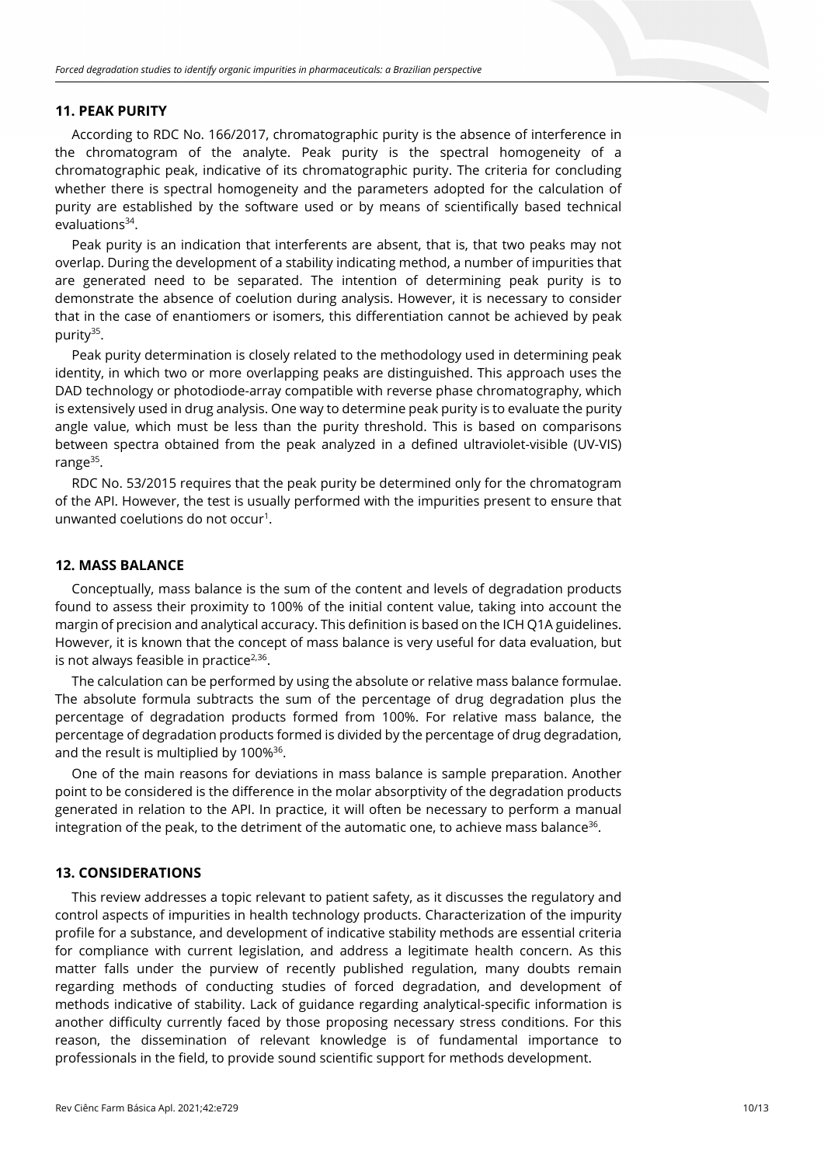### **11. PEAK PURITY**

According to RDC No. 166/2017, chromatographic purity is the absence of interference in the chromatogram of the analyte. Peak purity is the spectral homogeneity of a chromatographic peak, indicative of its chromatographic purity. The criteria for concluding whether there is spectral homogeneity and the parameters adopted for the calculation of purity are established by the software used or by means of scientifically based technical evaluations $34$ .

Peak purity is an indication that interferents are absent, that is, that two peaks may not overlap. During the development of a stability indicating method, a number of impurities that are generated need to be separated. The intention of determining peak purity is to demonstrate the absence of coelution during analysis. However, it is necessary to consider that in the case of enantiomers or isomers, this differentiation cannot be achieved by peak purity<sup>35</sup>.

Peak purity determination is closely related to the methodology used in determining peak identity, in which two or more overlapping peaks are distinguished. This approach uses the DAD technology or photodiode-array compatible with reverse phase chromatography, which is extensively used in drug analysis. One way to determine peak purity is to evaluate the purity angle value, which must be less than the purity threshold. This is based on comparisons between spectra obtained from the peak analyzed in a defined ultraviolet-visible (UV-VIS) range<sup>35</sup>.

RDC No. 53/2015 requires that the peak purity be determined only for the chromatogram of the API. However, the test is usually performed with the impurities present to ensure that unwanted coelutions do not occur<sup>1</sup>.

#### **12. MASS BALANCE**

Conceptually, mass balance is the sum of the content and levels of degradation products found to assess their proximity to 100% of the initial content value, taking into account the margin of precision and analytical accuracy. This definition is based on the ICH Q1A guidelines. However, it is known that the concept of mass balance is very useful for data evaluation, but is not always feasible in practice $2,36$ .

The calculation can be performed by using the absolute or relative mass balance formulae. The absolute formula subtracts the sum of the percentage of drug degradation plus the percentage of degradation products formed from 100%. For relative mass balance, the percentage of degradation products formed is divided by the percentage of drug degradation, and the result is multiplied by  $100\%^{36}$ .

One of the main reasons for deviations in mass balance is sample preparation. Another point to be considered is the difference in the molar absorptivity of the degradation products generated in relation to the API. In practice, it will often be necessary to perform a manual integration of the peak, to the detriment of the automatic one, to achieve mass balance<sup>36</sup>.

#### **13. CONSIDERATIONS**

This review addresses a topic relevant to patient safety, as it discusses the regulatory and control aspects of impurities in health technology products. Characterization of the impurity profile for a substance, and development of indicative stability methods are essential criteria for compliance with current legislation, and address a legitimate health concern. As this matter falls under the purview of recently published regulation, many doubts remain regarding methods of conducting studies of forced degradation, and development of methods indicative of stability. Lack of guidance regarding analytical-specific information is another difficulty currently faced by those proposing necessary stress conditions. For this reason, the dissemination of relevant knowledge is of fundamental importance to professionals in the field, to provide sound scientific support for methods development.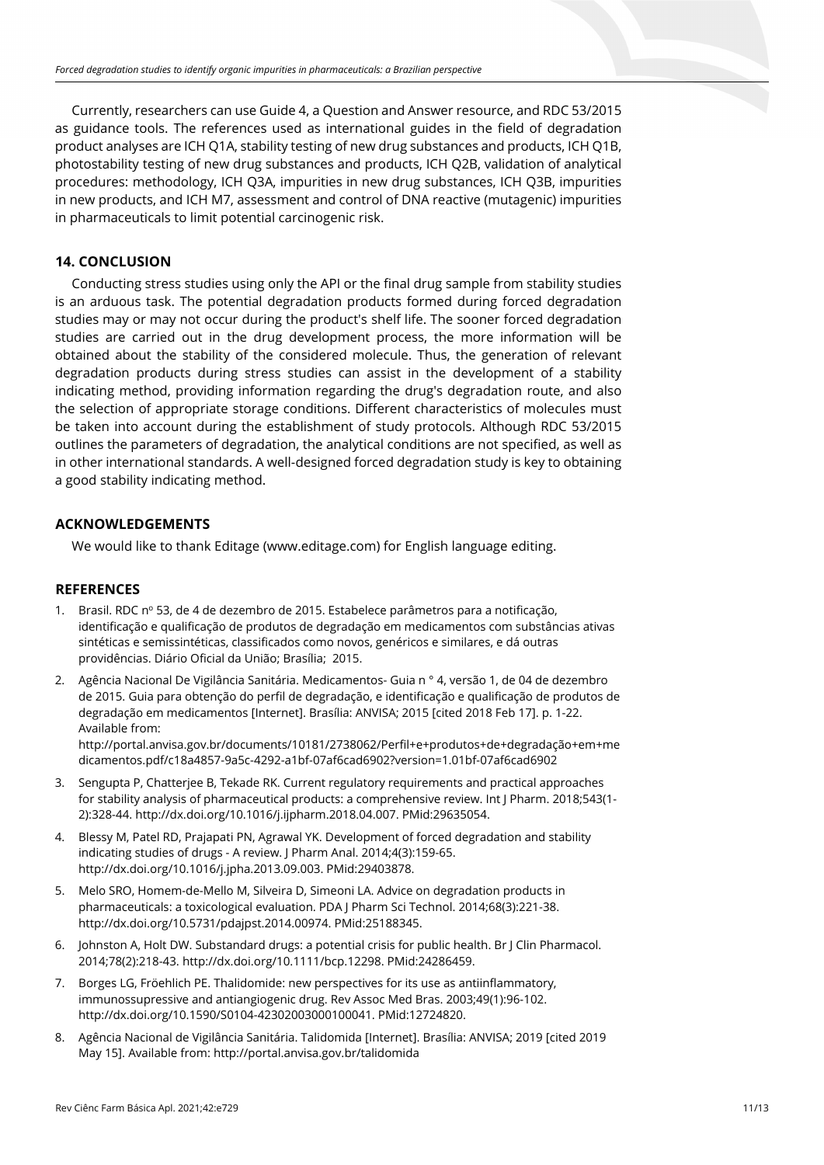Currently, researchers can use Guide 4, a Question and Answer resource, and RDC 53/2015 as guidance tools. The references used as international guides in the field of degradation product analyses are ICH Q1A, stability testing of new drug substances and products, ICH Q1B, photostability testing of new drug substances and products, ICH Q2B, validation of analytical procedures: methodology, ICH Q3A, impurities in new drug substances, ICH Q3B, impurities in new products, and ICH M7, assessment and control of DNA reactive (mutagenic) impurities in pharmaceuticals to limit potential carcinogenic risk.

#### **14. CONCLUSION**

Conducting stress studies using only the API or the final drug sample from stability studies is an arduous task. The potential degradation products formed during forced degradation studies may or may not occur during the product's shelf life. The sooner forced degradation studies are carried out in the drug development process, the more information will be obtained about the stability of the considered molecule. Thus, the generation of relevant degradation products during stress studies can assist in the development of a stability indicating method, providing information regarding the drug's degradation route, and also the selection of appropriate storage conditions. Different characteristics of molecules must be taken into account during the establishment of study protocols. Although RDC 53/2015 outlines the parameters of degradation, the analytical conditions are not specified, as well as in other international standards. A well-designed forced degradation study is key to obtaining a good stability indicating method.

#### **ACKNOWLEDGEMENTS**

We would like to thank Editage (www.editage.com) for English language editing.

#### **REFERENCES**

- 1. Brasil. RDC nº 53, de 4 de dezembro de 2015. Estabelece parâmetros para a notificação, identificação e qualificação de produtos de degradação em medicamentos com substâncias ativas sintéticas e semissintéticas, classificados como novos, genéricos e similares, e dá outras providências. Diário Oficial da União; Brasília; 2015.
- 2. Agência Nacional De Vigilância Sanitária. Medicamentos- Guia n ° 4, versão 1, de 04 de dezembro de 2015. Guia para obtenção do perfil de degradação, e identificação e qualificação de produtos de degradação em medicamentos [Internet]. Brasília: ANVISA; 2015 [cited 2018 Feb 17]. p. 1-22. Available from:

http://portal.anvisa.gov.br/documents/10181/2738062/Perfil+e+produtos+de+degradação+em+me dicamentos.pdf/c18a4857-9a5c-4292-a1bf-07af6cad6902?version=1.01bf-07af6cad6902

- 3. Sengupta P, Chatterjee B, Tekade RK. Current regulatory requirements and practical approaches for stability analysis of pharmaceutical products: a comprehensive review. Int J Pharm. 2018;543(1- 2):328-44. [http://dx.doi.org/10.1016/j.ijpharm.2018.04.007.](https://doi.org/10.1016/j.ijpharm.2018.04.007) [PMid:29635054.](https://www.ncbi.nlm.nih.gov/entrez/query.fcgi?cmd=Retrieve&db=PubMed&list_uids=29635054&dopt=Abstract)
- 4. Blessy M, Patel RD, Prajapati PN, Agrawal YK. Development of forced degradation and stability indicating studies of drugs - A review. J Pharm Anal. 2014;4(3):159-65. [http://dx.doi.org/10.1016/j.jpha.2013.09.003.](https://doi.org/10.1016/j.jpha.2013.09.003) [PMid:29403878.](https://www.ncbi.nlm.nih.gov/entrez/query.fcgi?cmd=Retrieve&db=PubMed&list_uids=29403878&dopt=Abstract)
- 5. Melo SRO, Homem-de-Mello M, Silveira D, Simeoni LA. Advice on degradation products in pharmaceuticals: a toxicological evaluation. PDA J Pharm Sci Technol. 2014;68(3):221-38. [http://dx.doi.org/10.5731/pdajpst.2014.00974.](https://doi.org/10.5731/pdajpst.2014.00974) [PMid:25188345.](https://www.ncbi.nlm.nih.gov/entrez/query.fcgi?cmd=Retrieve&db=PubMed&list_uids=25188345&dopt=Abstract)
- 6. Johnston A, Holt DW. Substandard drugs: a potential crisis for public health. Br J Clin Pharmacol. 2014;78(2):218-43. [http://dx.doi.org/10.1111/bcp.12298.](https://doi.org/10.1111/bcp.12298) [PMid:24286459.](https://www.ncbi.nlm.nih.gov/entrez/query.fcgi?cmd=Retrieve&db=PubMed&list_uids=24286459&dopt=Abstract)
- 7. Borges LG, Fröehlich PE. Thalidomide: new perspectives for its use as antiinflammatory, immunossupressive and antiangiogenic drug. Rev Assoc Med Bras. 2003;49(1):96-102. [http://dx.doi.org/10.1590/S0104-42302003000100041.](https://doi.org/10.1590/S0104-42302003000100041) [PMid:12724820.](https://www.ncbi.nlm.nih.gov/entrez/query.fcgi?cmd=Retrieve&db=PubMed&list_uids=12724820&dopt=Abstract)
- 8. Agência Nacional de Vigilância Sanitária. Talidomida [Internet]. Brasília: ANVISA; 2019 [cited 2019 May 15]. Available from: http://portal.anvisa.gov.br/talidomida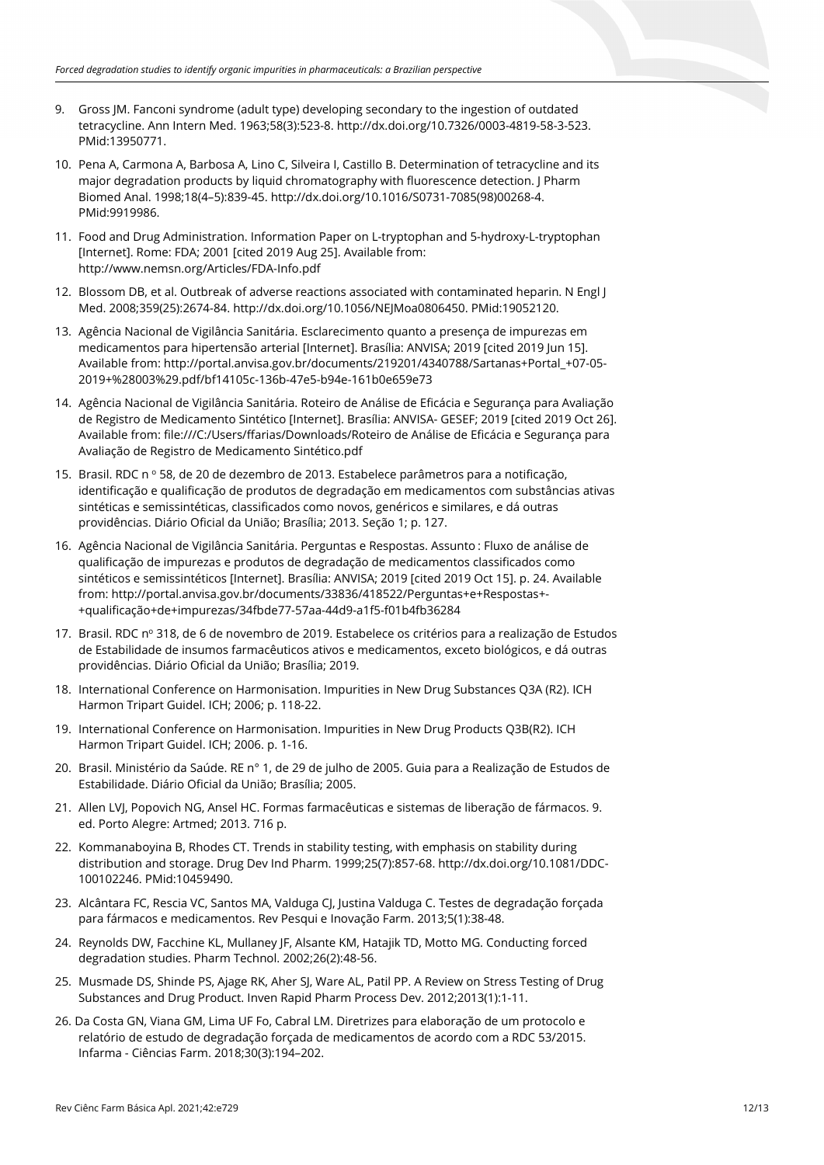- 9. Gross JM. Fanconi syndrome (adult type) developing secondary to the ingestion of outdated tetracycline. Ann Intern Med. 1963;58(3):523-8[. http://dx.doi.org/10.7326/0003-4819-58-3-523](https://doi.org/10.7326/0003-4819-58-3-523)[.](https://www.ncbi.nlm.nih.gov/entrez/query.fcgi?cmd=Retrieve&db=PubMed&list_uids=13950771&dopt=Abstract) [PMid:13950771.](https://www.ncbi.nlm.nih.gov/entrez/query.fcgi?cmd=Retrieve&db=PubMed&list_uids=13950771&dopt=Abstract)
- 10. Pena A, Carmona A, Barbosa A, Lino C, Silveira I, Castillo B. Determination of tetracycline and its major degradation products by liquid chromatography with fluorescence detection. J Pharm Biomed Anal. 1998;18(4–5):839-45[. http://dx.doi.org/10.1016/S0731-7085\(98\)00268-4](https://doi.org/10.1016/S0731-7085(98)00268-4)[.](https://www.ncbi.nlm.nih.gov/entrez/query.fcgi?cmd=Retrieve&db=PubMed&list_uids=9919986&dopt=Abstract) [PMid:9919986.](https://www.ncbi.nlm.nih.gov/entrez/query.fcgi?cmd=Retrieve&db=PubMed&list_uids=9919986&dopt=Abstract)
- 11. Food and Drug Administration. Information Paper on L-tryptophan and 5-hydroxy-L-tryptophan [Internet]. Rome: FDA; 2001 [cited 2019 Aug 25]. Available from: http://www.nemsn.org/Articles/FDA-Info.pdf
- 12. Blossom DB, et al. Outbreak of adverse reactions associated with contaminated heparin. N Engl J Med. 2008;359(25):2674-84[. http://dx.doi.org/10.1056/NEJMoa0806450.](https://doi.org/10.1056/NEJMoa0806450) [PMid:19052120.](https://www.ncbi.nlm.nih.gov/entrez/query.fcgi?cmd=Retrieve&db=PubMed&list_uids=19052120&dopt=Abstract)
- 13. Agência Nacional de Vigilância Sanitária. Esclarecimento quanto a presença de impurezas em medicamentos para hipertensão arterial [Internet]. Brasília: ANVISA; 2019 [cited 2019 Jun 15]. Available from: http://portal.anvisa.gov.br/documents/219201/4340788/Sartanas+Portal\_+07-05- 2019+%28003%29.pdf/bf14105c-136b-47e5-b94e-161b0e659e73
- 14. Agência Nacional de Vigilância Sanitária. Roteiro de Análise de Eficácia e Segurança para Avaliação de Registro de Medicamento Sintético [Internet]. Brasília: ANVISA- GESEF; 2019 [cited 2019 Oct 26]. Available from: file:///C:/Users/ffarias/Downloads/Roteiro de Análise de Eficácia e Segurança para Avaliação de Registro de Medicamento Sintético.pdf
- 15. Brasil. RDC n º 58, de 20 de dezembro de 2013. Estabelece parâmetros para a notificação, identificação e qualificação de produtos de degradação em medicamentos com substâncias ativas sintéticas e semissintéticas, classificados como novos, genéricos e similares, e dá outras providências. Diário Oficial da União; Brasília; 2013. Seção 1; p. 127.
- 16. Agência Nacional de Vigilância Sanitária. Perguntas e Respostas. Assunto : Fluxo de análise de qualificação de impurezas e produtos de degradação de medicamentos classificados como sintéticos e semissintéticos [Internet]. Brasília: ANVISA; 2019 [cited 2019 Oct 15]. p. 24. Available from: http://portal.anvisa.gov.br/documents/33836/418522/Perguntas+e+Respostas+- +qualificação+de+impurezas/34fbde77-57aa-44d9-a1f5-f01b4fb36284
- 17. Brasil. RDC nº 318, de 6 de novembro de 2019. Estabelece os critérios para a realização de Estudos de Estabilidade de insumos farmacêuticos ativos e medicamentos, exceto biológicos, e dá outras providências. Diário Oficial da União; Brasília; 2019.
- 18. International Conference on Harmonisation. Impurities in New Drug Substances Q3A (R2). ICH Harmon Tripart Guidel. ICH; 2006; p. 118-22.
- 19. International Conference on Harmonisation. Impurities in New Drug Products Q3B(R2). ICH Harmon Tripart Guidel. ICH; 2006. p. 1-16.
- 20. Brasil. Ministério da Saúde. RE n° 1, de 29 de julho de 2005. Guia para a Realização de Estudos de Estabilidade. Diário Oficial da União; Brasília; 2005.
- 21. Allen LVJ, Popovich NG, Ansel HC. Formas farmacêuticas e sistemas de liberação de fármacos. 9. ed. Porto Alegre: Artmed; 2013. 716 p.
- 22. Kommanaboyina B, Rhodes CT. Trends in stability testing, with emphasis on stability during distribution and storage. Drug Dev Ind Pharm. 1999;25(7):857-68[. http://dx.doi.org/10.1081/DDC-](https://doi.org/10.1081/DDC-100102246)[100102246.](https://doi.org/10.1081/DDC-100102246) [PMid:10459490.](https://www.ncbi.nlm.nih.gov/entrez/query.fcgi?cmd=Retrieve&db=PubMed&list_uids=10459490&dopt=Abstract)
- 23. Alcântara FC, Rescia VC, Santos MA, Valduga CJ, Justina Valduga C. Testes de degradação forçada para fármacos e medicamentos. Rev Pesqui e Inovação Farm. 2013;5(1):38-48.
- 24. Reynolds DW, Facchine KL, Mullaney JF, Alsante KM, Hatajik TD, Motto MG. Conducting forced degradation studies. Pharm Technol. 2002;26(2):48-56.
- 25. Musmade DS, Shinde PS, Ajage RK, Aher SJ, Ware AL, Patil PP. A Review on Stress Testing of Drug Substances and Drug Product. Inven Rapid Pharm Process Dev. 2012;2013(1):1-11.
- 26. Da Costa GN, Viana GM, Lima UF Fo, Cabral LM. Diretrizes para elaboração de um protocolo e relatório de estudo de degradação forçada de medicamentos de acordo com a RDC 53/2015. Infarma - Ciências Farm. 2018;30(3):194–202.